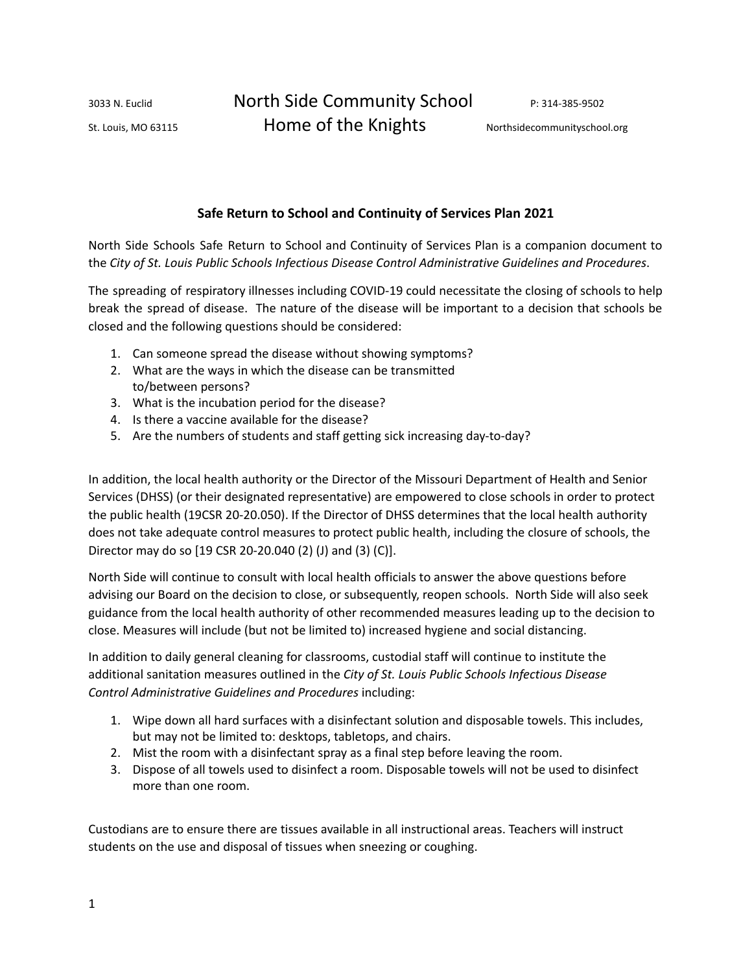3033 N. Euclid North Side Community School P: 314-385-9502 St. Louis, MO 63115 **Home of the Knights** Northsidecommunityschool.org

# **Safe Return to School and Continuity of Services Plan 2021**

North Side Schools Safe Return to School and Continuity of Services Plan is a companion document to the *City of St. Louis Public Schools Infectious Disease Control Administrative Guidelines and Procedures*.

The spreading of respiratory illnesses including COVID-19 could necessitate the closing of schools to help break the spread of disease. The nature of the disease will be important to a decision that schools be closed and the following questions should be considered:

- 1. Can someone spread the disease without showing symptoms?
- 2. What are the ways in which the disease can be transmitted to/between persons?
- 3. What is the incubation period for the disease?
- 4. Is there a vaccine available for the disease?
- 5. Are the numbers of students and staff getting sick increasing day-to-day?

In addition, the local health authority or the Director of the Missouri Department of Health and Senior Services (DHSS) (or their designated representative) are empowered to close schools in order to protect the public health (19CSR 20-20.050). If the Director of DHSS determines that the local health authority does not take adequate control measures to protect public health, including the closure of schools, the Director may do so [19 CSR 20-20.040 (2) (J) and (3) (C)].

North Side will continue to consult with local health officials to answer the above questions before advising our Board on the decision to close, or subsequently, reopen schools. North Side will also seek guidance from the local health authority of other recommended measures leading up to the decision to close. Measures will include (but not be limited to) increased hygiene and social distancing.

In addition to daily general cleaning for classrooms, custodial staff will continue to institute the additional sanitation measures outlined in the *City of St. Louis Public Schools Infectious Disease Control Administrative Guidelines and Procedures* including:

- 1. Wipe down all hard surfaces with a disinfectant solution and disposable towels. This includes, but may not be limited to: desktops, tabletops, and chairs.
- 2. Mist the room with a disinfectant spray as a final step before leaving the room.
- 3. Dispose of all towels used to disinfect a room. Disposable towels will not be used to disinfect more than one room.

Custodians are to ensure there are tissues available in all instructional areas. Teachers will instruct students on the use and disposal of tissues when sneezing or coughing.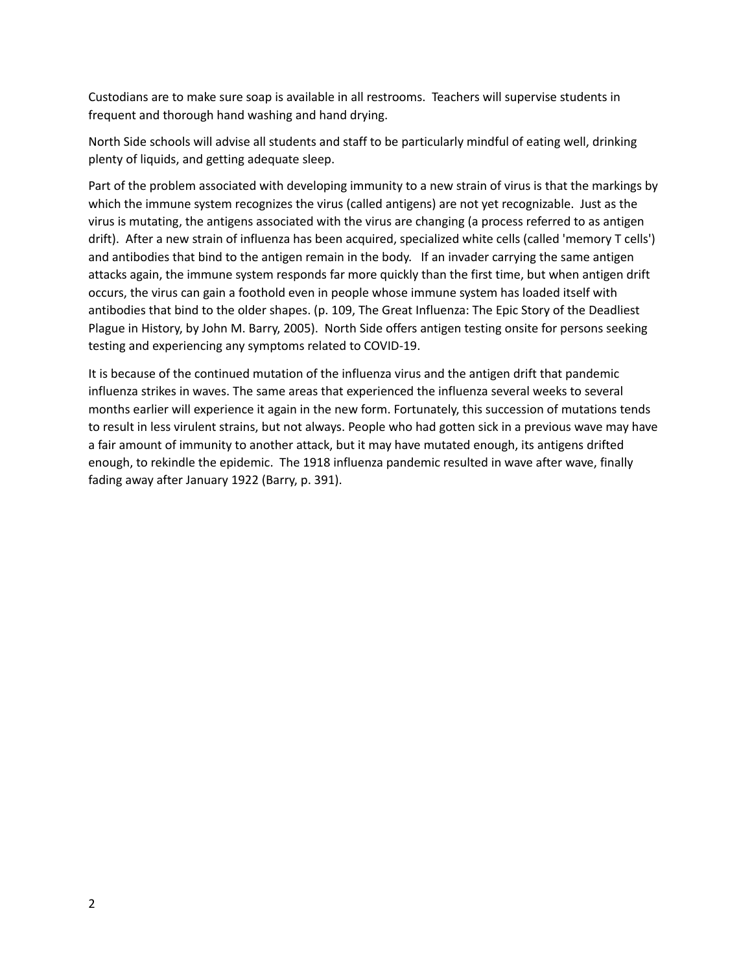Custodians are to make sure soap is available in all restrooms. Teachers will supervise students in frequent and thorough hand washing and hand drying.

North Side schools will advise all students and staff to be particularly mindful of eating well, drinking plenty of liquids, and getting adequate sleep.

Part of the problem associated with developing immunity to a new strain of virus is that the markings by which the immune system recognizes the virus (called antigens) are not yet recognizable. Just as the virus is mutating, the antigens associated with the virus are changing (a process referred to as antigen drift). After a new strain of influenza has been acquired, specialized white cells (called 'memory T cells') and antibodies that bind to the antigen remain in the body. If an invader carrying the same antigen attacks again, the immune system responds far more quickly than the first time, but when antigen drift occurs, the virus can gain a foothold even in people whose immune system has loaded itself with antibodies that bind to the older shapes. (p. 109, The Great Influenza: The Epic Story of the Deadliest Plague in History, by John M. Barry, 2005). North Side offers antigen testing onsite for persons seeking testing and experiencing any symptoms related to COVID-19.

It is because of the continued mutation of the influenza virus and the antigen drift that pandemic influenza strikes in waves. The same areas that experienced the influenza several weeks to several months earlier will experience it again in the new form. Fortunately, this succession of mutations tends to result in less virulent strains, but not always. People who had gotten sick in a previous wave may have a fair amount of immunity to another attack, but it may have mutated enough, its antigens drifted enough, to rekindle the epidemic. The 1918 influenza pandemic resulted in wave after wave, finally fading away after January 1922 (Barry, p. 391).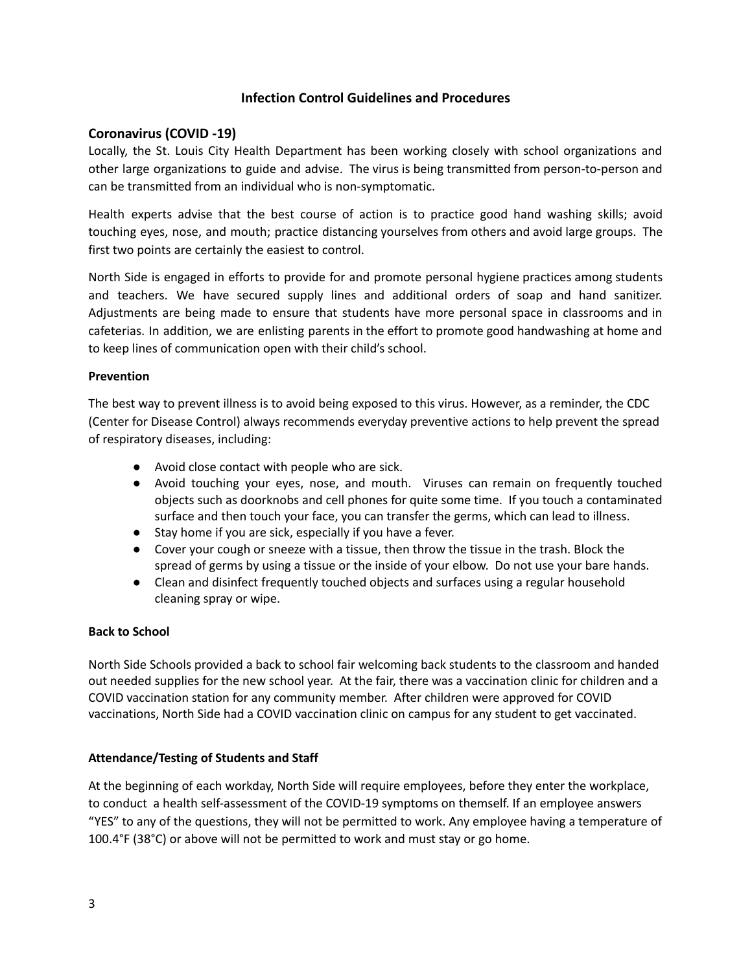# **Infection Control Guidelines and Procedures**

## **Coronavirus (COVID -19)**

Locally, the St. Louis City Health Department has been working closely with school organizations and other large organizations to guide and advise. The virus is being transmitted from person-to-person and can be transmitted from an individual who is non-symptomatic.

Health experts advise that the best course of action is to practice good hand washing skills; avoid touching eyes, nose, and mouth; practice distancing yourselves from others and avoid large groups. The first two points are certainly the easiest to control.

North Side is engaged in efforts to provide for and promote personal hygiene practices among students and teachers. We have secured supply lines and additional orders of soap and hand sanitizer. Adjustments are being made to ensure that students have more personal space in classrooms and in cafeterias. In addition, we are enlisting parents in the effort to promote good handwashing at home and to keep lines of communication open with their child's school.

### **Prevention**

The best way to prevent illness is to avoid being exposed to this virus. However, as a reminder, the CDC (Center for Disease Control) always recommends everyday preventive actions to help prevent the spread of respiratory diseases, including:

- Avoid close contact with people who are sick.
- Avoid touching your eyes, nose, and mouth. Viruses can remain on frequently touched objects such as doorknobs and cell phones for quite some time. If you touch a contaminated surface and then touch your face, you can transfer the germs, which can lead to illness.
- Stay home if you are sick, especially if you have a fever.
- Cover your cough or sneeze with a tissue, then throw the tissue in the trash. Block the spread of germs by using a tissue or the inside of your elbow. Do not use your bare hands.
- Clean and disinfect frequently touched objects and surfaces using a regular household cleaning spray or wipe.

### **Back to School**

North Side Schools provided a back to school fair welcoming back students to the classroom and handed out needed supplies for the new school year. At the fair, there was a vaccination clinic for children and a COVID vaccination station for any community member. After children were approved for COVID vaccinations, North Side had a COVID vaccination clinic on campus for any student to get vaccinated.

### **Attendance/Testing of Students and Staff**

At the beginning of each workday, North Side will require employees, before they enter the workplace, to conduct a health self-assessment of the COVID-19 symptoms on themself. If an employee answers "YES" to any of the questions, they will not be permitted to work. Any employee having a temperature of 100.4°F (38°C) or above will not be permitted to work and must stay or go home.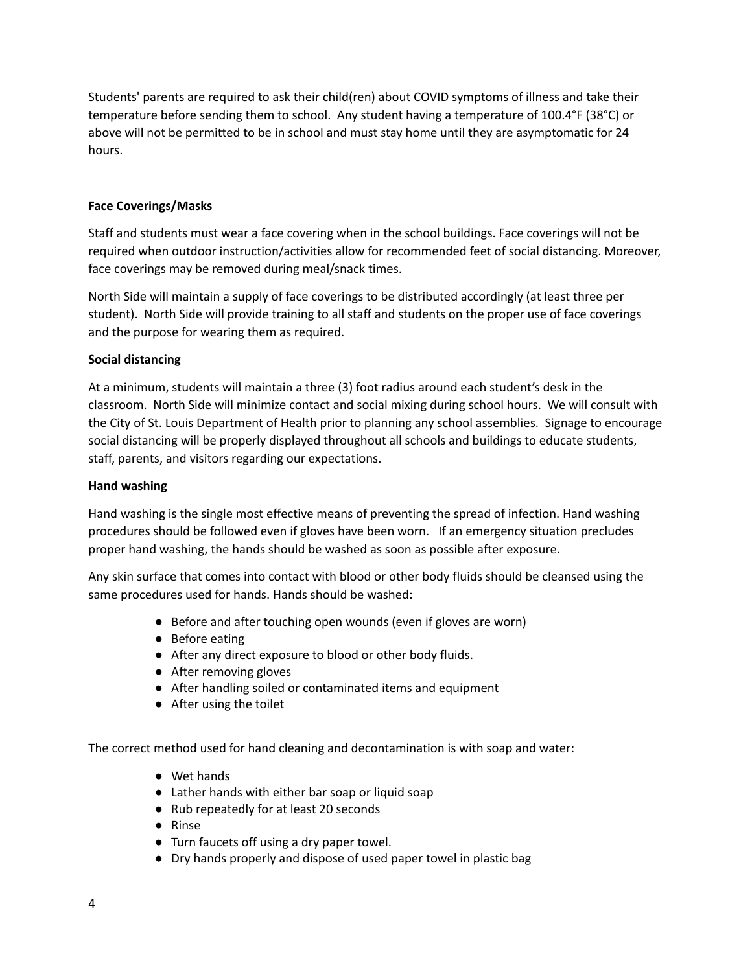Students' parents are required to ask their child(ren) about COVID symptoms of illness and take their temperature before sending them to school. Any student having a temperature of 100.4°F (38°C) or above will not be permitted to be in school and must stay home until they are asymptomatic for 24 hours.

## **Face Coverings/Masks**

Staff and students must wear a face covering when in the school buildings. Face coverings will not be required when outdoor instruction/activities allow for recommended feet of social distancing. Moreover, face coverings may be removed during meal/snack times.

North Side will maintain a supply of face coverings to be distributed accordingly (at least three per student). North Side will provide training to all staff and students on the proper use of face coverings and the purpose for wearing them as required.

## **Social distancing**

At a minimum, students will maintain a three (3) foot radius around each student's desk in the classroom. North Side will minimize contact and social mixing during school hours. We will consult with the City of St. Louis Department of Health prior to planning any school assemblies. Signage to encourage social distancing will be properly displayed throughout all schools and buildings to educate students, staff, parents, and visitors regarding our expectations.

### **Hand washing**

Hand washing is the single most effective means of preventing the spread of infection. Hand washing procedures should be followed even if gloves have been worn. If an emergency situation precludes proper hand washing, the hands should be washed as soon as possible after exposure.

Any skin surface that comes into contact with blood or other body fluids should be cleansed using the same procedures used for hands. Hands should be washed:

- Before and after touching open wounds (even if gloves are worn)
- Before eating
- After any direct exposure to blood or other body fluids.
- After removing gloves
- After handling soiled or contaminated items and equipment
- After using the toilet

The correct method used for hand cleaning and decontamination is with soap and water:

- Wet hands
- Lather hands with either bar soap or liquid soap
- Rub repeatedly for at least 20 seconds
- Rinse
- Turn faucets off using a dry paper towel.
- Dry hands properly and dispose of used paper towel in plastic bag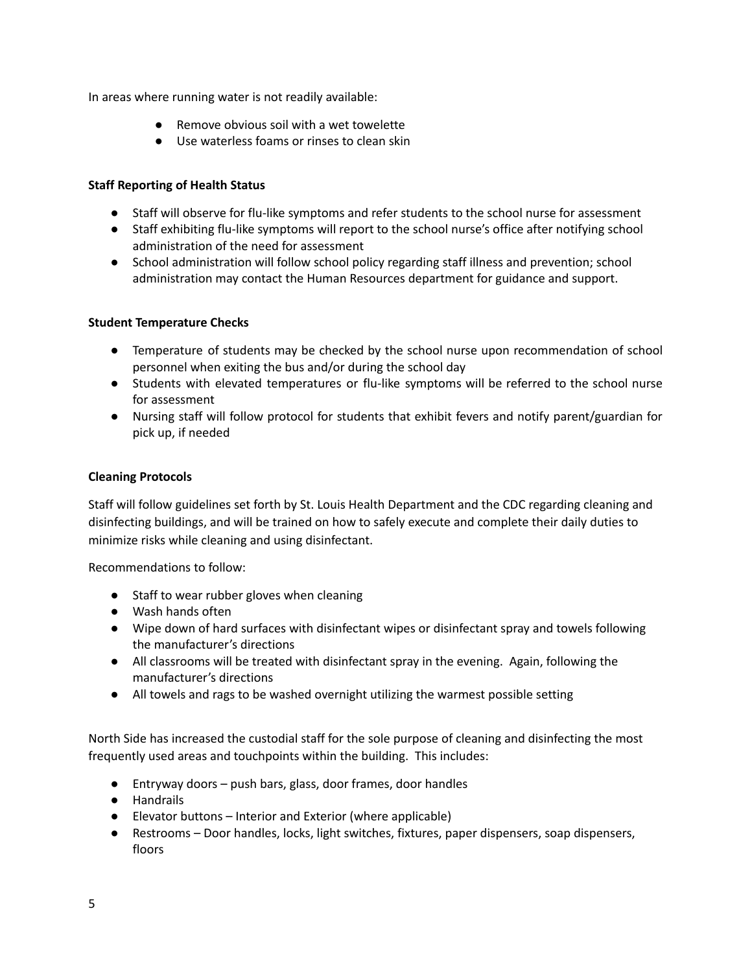In areas where running water is not readily available:

- Remove obvious soil with a wet towelette
- Use waterless foams or rinses to clean skin

# **Staff Reporting of Health Status**

- Staff will observe for flu-like symptoms and refer students to the school nurse for assessment
- Staff exhibiting flu-like symptoms will report to the school nurse's office after notifying school administration of the need for assessment
- School administration will follow school policy regarding staff illness and prevention; school administration may contact the Human Resources department for guidance and support.

# **Student Temperature Checks**

- **●** Temperature of students may be checked by the school nurse upon recommendation of school personnel when exiting the bus and/or during the school day
- **●** Students with elevated temperatures or flu-like symptoms will be referred to the school nurse for assessment
- **●** Nursing staff will follow protocol for students that exhibit fevers and notify parent/guardian for pick up, if needed

## **Cleaning Protocols**

Staff will follow guidelines set forth by St. Louis Health Department and the CDC regarding cleaning and disinfecting buildings, and will be trained on how to safely execute and complete their daily duties to minimize risks while cleaning and using disinfectant.

Recommendations to follow:

- Staff to wear rubber gloves when cleaning
- Wash hands often
- Wipe down of hard surfaces with disinfectant wipes or disinfectant spray and towels following the manufacturer's directions
- All classrooms will be treated with disinfectant spray in the evening. Again, following the manufacturer's directions
- All towels and rags to be washed overnight utilizing the warmest possible setting

North Side has increased the custodial staff for the sole purpose of cleaning and disinfecting the most frequently used areas and touchpoints within the building. This includes:

- Entryway doors push bars, glass, door frames, door handles
- Handrails
- Elevator buttons Interior and Exterior (where applicable)
- Restrooms Door handles, locks, light switches, fixtures, paper dispensers, soap dispensers, floors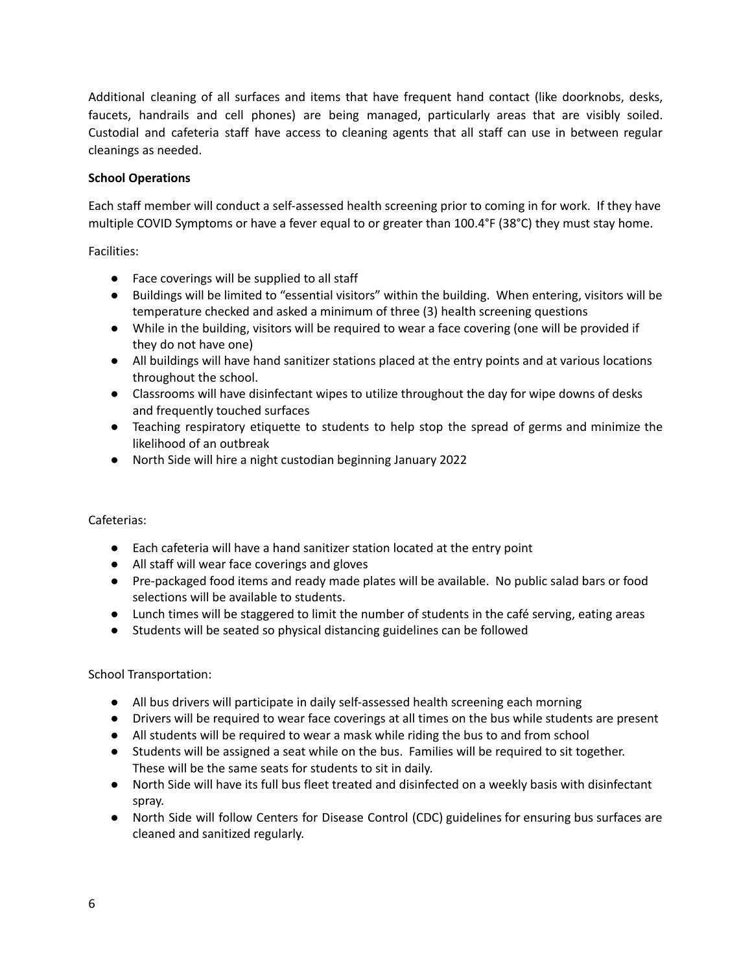Additional cleaning of all surfaces and items that have frequent hand contact (like doorknobs, desks, faucets, handrails and cell phones) are being managed, particularly areas that are visibly soiled. Custodial and cafeteria staff have access to cleaning agents that all staff can use in between regular cleanings as needed.

### **School Operations**

Each staff member will conduct a self-assessed health screening prior to coming in for work. If they have multiple COVID Symptoms or have a fever equal to or greater than 100.4°F (38°C) they must stay home.

Facilities:

- Face coverings will be supplied to all staff
- Buildings will be limited to "essential visitors" within the building. When entering, visitors will be temperature checked and asked a minimum of three (3) health screening questions
- While in the building, visitors will be required to wear a face covering (one will be provided if they do not have one)
- All buildings will have hand sanitizer stations placed at the entry points and at various locations throughout the school.
- Classrooms will have disinfectant wipes to utilize throughout the day for wipe downs of desks and frequently touched surfaces
- Teaching respiratory etiquette to students to help stop the spread of germs and minimize the likelihood of an outbreak
- North Side will hire a night custodian beginning January 2022

## Cafeterias:

- Each cafeteria will have a hand sanitizer station located at the entry point
- All staff will wear face coverings and gloves
- Pre-packaged food items and ready made plates will be available. No public salad bars or food selections will be available to students.
- Lunch times will be staggered to limit the number of students in the café serving, eating areas
- Students will be seated so physical distancing guidelines can be followed

School Transportation:

- All bus drivers will participate in daily self-assessed health screening each morning
- Drivers will be required to wear face coverings at all times on the bus while students are present
- All students will be required to wear a mask while riding the bus to and from school
- Students will be assigned a seat while on the bus. Families will be required to sit together. These will be the same seats for students to sit in daily.
- North Side will have its full bus fleet treated and disinfected on a weekly basis with disinfectant spray.
- North Side will follow Centers for Disease Control (CDC) guidelines for ensuring bus surfaces are cleaned and sanitized regularly.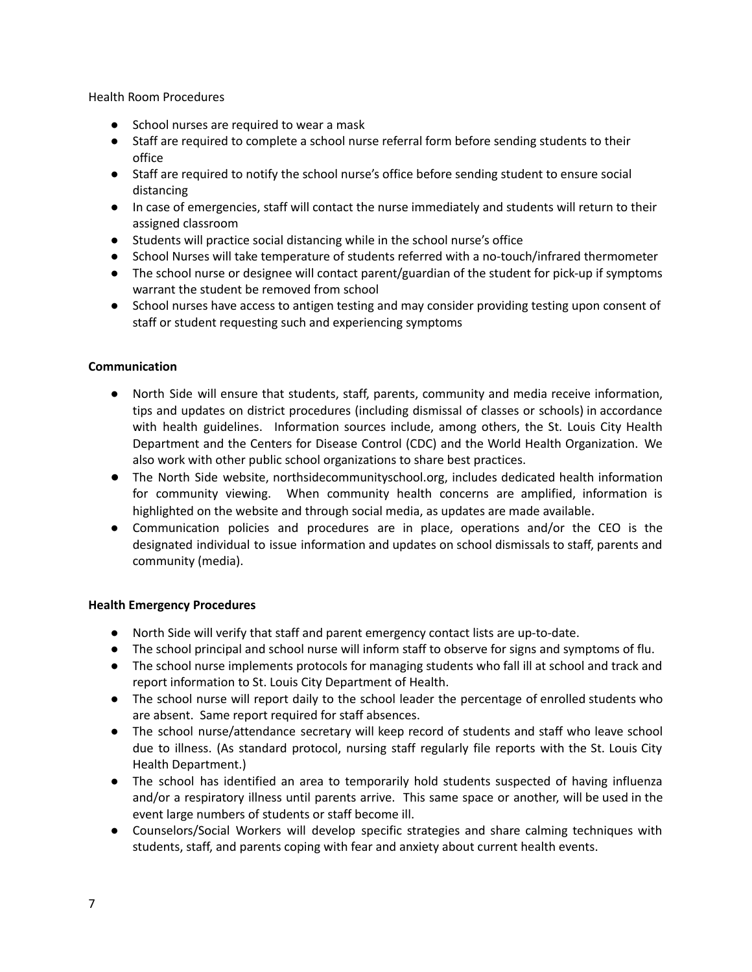Health Room Procedures

- School nurses are required to wear a mask
- Staff are required to complete a school nurse referral form before sending students to their office
- Staff are required to notify the school nurse's office before sending student to ensure social distancing
- **●** In case of emergencies, staff will contact the nurse immediately and students will return to their assigned classroom
- Students will practice social distancing while in the school nurse's office
- School Nurses will take temperature of students referred with a no-touch/infrared thermometer
- The school nurse or designee will contact parent/guardian of the student for pick-up if symptoms warrant the student be removed from school
- School nurses have access to antigen testing and may consider providing testing upon consent of staff or student requesting such and experiencing symptoms

### **Communication**

- North Side will ensure that students, staff, parents, community and media receive information, tips and updates on district procedures (including dismissal of classes or schools) in accordance with health guidelines. Information sources include, among others, the St. Louis City Health Department and the Centers for Disease Control (CDC) and the World Health Organization. We also work with other public school organizations to share best practices.
- The North Side website, northsidecommunityschool.org, includes dedicated health information for community viewing. When community health concerns are amplified, information is highlighted on the website and through social media, as updates are made available.
- Communication policies and procedures are in place, operations and/or the CEO is the designated individual to issue information and updates on school dismissals to staff, parents and community (media).

### **Health Emergency Procedures**

- North Side will verify that staff and parent emergency contact lists are up-to-date.
- The school principal and school nurse will inform staff to observe for signs and symptoms of flu.
- **●** The school nurse implements protocols for managing students who fall ill at school and track and report information to St. Louis City Department of Health.
- **●** The school nurse will report daily to the school leader the percentage of enrolled students who are absent. Same report required for staff absences.
- The school nurse/attendance secretary will keep record of students and staff who leave school due to illness. (As standard protocol, nursing staff regularly file reports with the St. Louis City Health Department.)
- The school has identified an area to temporarily hold students suspected of having influenza and/or a respiratory illness until parents arrive. This same space or another, will be used in the event large numbers of students or staff become ill.
- Counselors/Social Workers will develop specific strategies and share calming techniques with students, staff, and parents coping with fear and anxiety about current health events.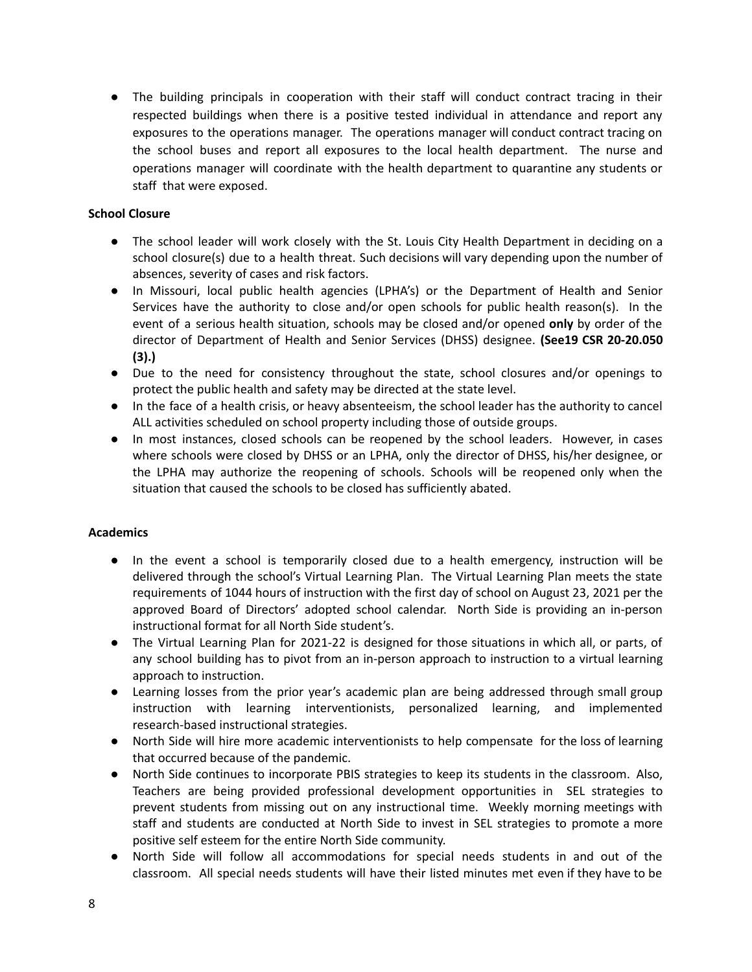● The building principals in cooperation with their staff will conduct contract tracing in their respected buildings when there is a positive tested individual in attendance and report any exposures to the operations manager. The operations manager will conduct contract tracing on the school buses and report all exposures to the local health department. The nurse and operations manager will coordinate with the health department to quarantine any students or staff that were exposed.

## **School Closure**

- The school leader will work closely with the St. Louis City Health Department in deciding on a school closure(s) due to a health threat. Such decisions will vary depending upon the number of absences, severity of cases and risk factors.
- **●** In Missouri, local public health agencies (LPHA's) or the Department of Health and Senior Services have the authority to close and/or open schools for public health reason(s). In the event of a serious health situation, schools may be closed and/or opened **only** by order of the director of Department of Health and Senior Services (DHSS) designee. **(See19 CSR 20-20.050 (3).)**
- Due to the need for consistency throughout the state, school closures and/or openings to protect the public health and safety may be directed at the state level.
- In the face of a health crisis, or heavy absenteeism, the school leader has the authority to cancel ALL activities scheduled on school property including those of outside groups.
- In most instances, closed schools can be reopened by the school leaders. However, in cases where schools were closed by DHSS or an LPHA, only the director of DHSS, his/her designee, or the LPHA may authorize the reopening of schools. Schools will be reopened only when the situation that caused the schools to be closed has sufficiently abated.

### **Academics**

- In the event a school is temporarily closed due to a health emergency, instruction will be delivered through the school's Virtual Learning Plan. The Virtual Learning Plan meets the state requirements of 1044 hours of instruction with the first day of school on August 23, 2021 per the approved Board of Directors' adopted school calendar. North Side is providing an in-person instructional format for all North Side student's.
- The Virtual Learning Plan for 2021-22 is designed for those situations in which all, or parts, of any school building has to pivot from an in-person approach to instruction to a virtual learning approach to instruction.
- Learning losses from the prior year's academic plan are being addressed through small group instruction with learning interventionists, personalized learning, and implemented research-based instructional strategies.
- North Side will hire more academic interventionists to help compensate for the loss of learning that occurred because of the pandemic.
- North Side continues to incorporate PBIS strategies to keep its students in the classroom. Also, Teachers are being provided professional development opportunities in SEL strategies to prevent students from missing out on any instructional time. Weekly morning meetings with staff and students are conducted at North Side to invest in SEL strategies to promote a more positive self esteem for the entire North Side community.
- North Side will follow all accommodations for special needs students in and out of the classroom. All special needs students will have their listed minutes met even if they have to be